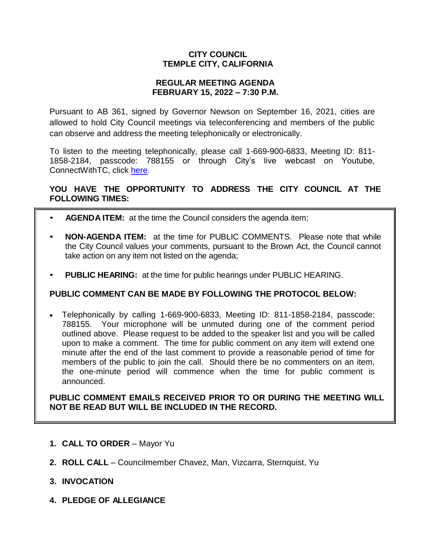# **CITY COUNCIL TEMPLE CITY, CALIFORNIA**

### **REGULAR MEETING AGENDA FEBRUARY 15, 2022 – 7:30 P.M.**

Pursuant to AB 361, signed by Governor Newson on September 16, 2021, cities are allowed to hold City Council meetings via teleconferencing and members of the public can observe and address the meeting telephonically or electronically.

To listen to the meeting telephonically, please call 1-669-900-6833, Meeting ID: 811- 1858-2184, passcode: 788155 or through City's live webcast on Youtube, ConnectWithTC, click [here.](https://www.ci.temple-city.ca.us/516/Meeting-Webcast)

# **YOU HAVE THE OPPORTUNITY TO ADDRESS THE CITY COUNCIL AT THE FOLLOWING TIMES:**

- **AGENDA ITEM:** at the time the Council considers the agenda item;
- **NON-AGENDA ITEM:** at the time for PUBLIC COMMENTS. Please note that while the City Council values your comments, pursuant to the Brown Act, the Council cannot take action on any item not listed on the agenda;
- **PUBLIC HEARING:** at the time for public hearings under PUBLIC HEARING.

## **PUBLIC COMMENT CAN BE MADE BY FOLLOWING THE PROTOCOL BELOW:**

 Telephonically by calling 1-669-900-6833, Meeting ID: 811-1858-2184, passcode: 788155. Your microphone will be unmuted during one of the comment period outlined above. Please request to be added to the speaker list and you will be called upon to make a comment. The time for public comment on any item will extend one minute after the end of the last comment to provide a reasonable period of time for members of the public to join the call. Should there be no commenters on an item, the one-minute period will commence when the time for public comment is announced.

**PUBLIC COMMENT EMAILS RECEIVED PRIOR TO OR DURING THE MEETING WILL NOT BE READ BUT WILL BE INCLUDED IN THE RECORD.**

- **1. CALL TO ORDER**  Mayor Yu
- **2. ROLL CALL**  Councilmember Chavez, Man, Vizcarra, Sternquist, Yu
- **3. INVOCATION**
- **4. PLEDGE OF ALLEGIANCE**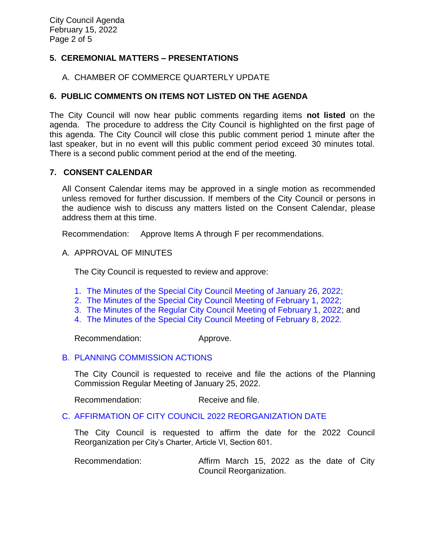# **5. CEREMONIAL MATTERS – PRESENTATIONS**

### A. CHAMBER OF COMMERCE QUARTERLY UPDATE

### **6. PUBLIC COMMENTS ON ITEMS NOT LISTED ON THE AGENDA**

The City Council will now hear public comments regarding items **not listed** on the agenda. The procedure to address the City Council is highlighted on the first page of this agenda. The City Council will close this public comment period 1 minute after the last speaker, but in no event will this public comment period exceed 30 minutes total. There is a second public comment period at the end of the meeting.

#### **7. CONSENT CALENDAR**

All Consent Calendar items may be approved in a single motion as recommended unless removed for further discussion. If members of the City Council or persons in the audience wish to discuss any matters listed on the Consent Calendar, please address them at this time.

Recommendation: Approve Items A through F per recommendations.

#### A. APPROVAL OF MINUTES

The City Council is requested to review and approve:

- 1. The Minutes of the Special [City Council Meeting of January](https://www.ci.temple-city.ca.us/DocumentCenter/View/17455/7A-1_CCM---2022-01-26-Sheriffs-Monthly) 26, 2022;
- 2. [The Minutes of the Special City Council Meeting of February 1, 2022;](https://www.ci.temple-city.ca.us/DocumentCenter/View/17456/7A-2_CCM---2022-02-01-Special)
- 3. [The Minutes of the Regular City Council Meeting of February 1, 2022;](https://www.ci.temple-city.ca.us/DocumentCenter/View/17457/7A-3_CCM---2022-02-01) and
- 4. [The Minutes of the Special City Council](https://www.ci.temple-city.ca.us/DocumentCenter/View/17458/7A-4_CCM---2022-02-08-Special) Meeting of February 8, 2022.

Recommendation: Approve.

#### B. [PLANNING COMMISSION ACTIONS](https://www.ci.temple-city.ca.us/DocumentCenter/View/17459/7B_Planning-Commission-Actions_2022-01-25https:/www.ci.temple-city.ca.us/DocumentCenter/View/17459/7B_Planning-Commission-Actions_2022-01-25)

The City Council is requested to receive and file the actions of the Planning Commission Regular Meeting of January 25, 2022.

Recommendation: Receive and file.

## C. [AFFIRMATION OF CITY COUNCIL 2022 REORGANIZATION DATE](https://www.ci.temple-city.ca.us/DocumentCenter/View/17460/7C_Affirmation-of-City--Council-2019-Reorganization-Date-2022_Staff-Report)

The City Council is requested to affirm the date for the 2022 Council Reorganization per City's Charter, Article VI, Section 601.

Recommendation: Affirm March 15, 2022 as the date of City Council Reorganization.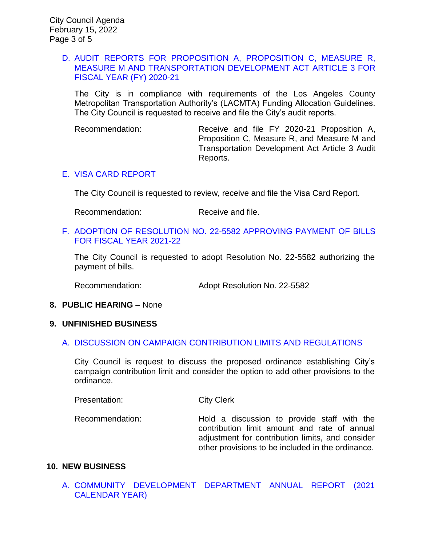## D. [AUDIT REPORTS FOR PROPOSITION A, PROPOSITION C, MEASURE R,](https://www.ci.temple-city.ca.us/DocumentCenter/View/17461/7D_FY21-Annual-Financial-Report-for-MTA-Funds-2-15-22_w-attachment)  [MEASURE M AND TRANSPORTATION DEVELOPMENT ACT ARTICLE 3 FOR](https://www.ci.temple-city.ca.us/DocumentCenter/View/17461/7D_FY21-Annual-Financial-Report-for-MTA-Funds-2-15-22_w-attachment)  [FISCAL YEAR \(FY\) 2020-21](https://www.ci.temple-city.ca.us/DocumentCenter/View/17461/7D_FY21-Annual-Financial-Report-for-MTA-Funds-2-15-22_w-attachment)

The City is in compliance with requirements of the Los Angeles County Metropolitan Transportation Authority's (LACMTA) Funding Allocation Guidelines. The City Council is requested to receive and file the City's audit reports.

Recommendation: Receive and file FY 2020-21 Proposition A, Proposition C, Measure R, and Measure M and Transportation Development Act Article 3 Audit Reports.

# E. [VISA CARD REPORT](https://www.ci.temple-city.ca.us/DocumentCenter/View/17462/7E_Visa-Card-Report)

The City Council is requested to review, receive and file the Visa Card Report.

Recommendation: Receive and file.

#### F. [ADOPTION OF RESOLUTION NO. 22-5582 APPROVING PAYMENT OF BILLS](https://www.ci.temple-city.ca.us/DocumentCenter/View/17463/7F_CC-Warrant_Reso-No-22-5582_2022-02-15)  [FOR FISCAL YEAR 2021-22](https://www.ci.temple-city.ca.us/DocumentCenter/View/17463/7F_CC-Warrant_Reso-No-22-5582_2022-02-15)

The City Council is requested to adopt Resolution No. 22-5582 authorizing the payment of bills.

Recommendation: Adopt Resolution No. 22-5582

## **8. PUBLIC HEARING** – None

#### **9. UNFINISHED BUSINESS**

## A. [DISCUSSION ON CAMPAIGN CONTRIBUTION LIMITS AND REGULATIONS](https://www.ci.temple-city.ca.us/DocumentCenter/View/17464/9A_Campaign-Contribution-Limit_Staff-Report_v4)

City Council is request to discuss the proposed ordinance establishing City's campaign contribution limit and consider the option to add other provisions to the ordinance.

Presentation: City Clerk

Recommendation: Hold a discussion to provide staff with the contribution limit amount and rate of annual adjustment for contribution limits, and consider other provisions to be included in the ordinance.

## **10. NEW BUSINESS**

A. [COMMUNITY DEVELOPMENT DEPARTMENT ANNUAL REPORT \(2021](https://www.ci.temple-city.ca.us/DocumentCenter/View/17465/10A_CDD-Annual-Report---2021-CY---Staff-Report-sr-edits_v2)  [CALENDAR YEAR\)](https://www.ci.temple-city.ca.us/DocumentCenter/View/17465/10A_CDD-Annual-Report---2021-CY---Staff-Report-sr-edits_v2)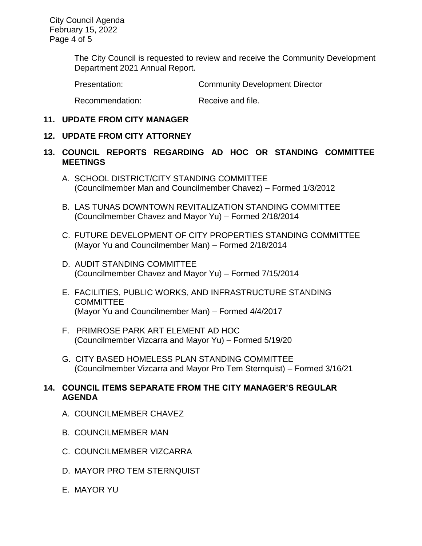City Council Agenda February 15, 2022 Page 4 of 5

> The City Council is requested to review and receive the Community Development Department 2021 Annual Report.

Presentation: Community Development Director

Recommendation: Receive and file.

### **11. UPDATE FROM CITY MANAGER**

### **12. UPDATE FROM CITY ATTORNEY**

## **13. COUNCIL REPORTS REGARDING AD HOC OR STANDING COMMITTEE MEETINGS**

- A. SCHOOL DISTRICT/CITY STANDING COMMITTEE (Councilmember Man and Councilmember Chavez) – Formed 1/3/2012
- B. LAS TUNAS DOWNTOWN REVITALIZATION STANDING COMMITTEE (Councilmember Chavez and Mayor Yu) – Formed 2/18/2014
- C. FUTURE DEVELOPMENT OF CITY PROPERTIES STANDING COMMITTEE (Mayor Yu and Councilmember Man) – Formed 2/18/2014
- D. AUDIT STANDING COMMITTEE (Councilmember Chavez and Mayor Yu) – Formed 7/15/2014
- E. FACILITIES, PUBLIC WORKS, AND INFRASTRUCTURE STANDING **COMMITTEE** (Mayor Yu and Councilmember Man) – Formed 4/4/2017
- F. PRIMROSE PARK ART ELEMENT AD HOC (Councilmember Vizcarra and Mayor Yu) – Formed 5/19/20
- G. CITY BASED HOMELESS PLAN STANDING COMMITTEE (Councilmember Vizcarra and Mayor Pro Tem Sternquist) – Formed 3/16/21

# **14. COUNCIL ITEMS SEPARATE FROM THE CITY MANAGER'S REGULAR AGENDA**

- A. COUNCILMEMBER CHAVEZ
- B. COUNCILMEMBER MAN
- C. COUNCILMEMBER VIZCARRA
- D. MAYOR PRO TEM STERNQUIST
- E. MAYOR YU